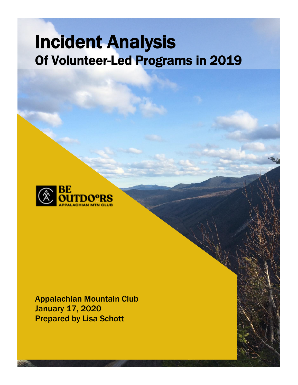# Incident Analysis Of Volunteer-Led Programs in 2019



Appalachian Mountain Club January 17, 2020 Prepared by Lisa Schott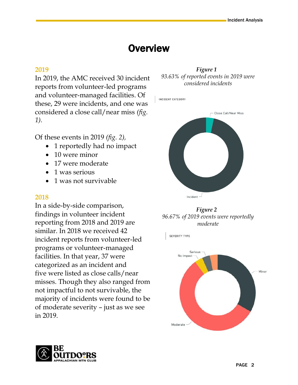# **Overview**

#### **2019**

In 2019, the AMC received 30 incident reports from volunteer-led programs and volunteer-managed facilities. Of these, 29 were incidents, and one was considered a close call/near miss *(fig. 1).*

Of these events in 2019 *(fig. 2),*

- 1 reportedly had no impact
- 10 were minor
- 17 were moderate
- 1 was serious
- 1 was not survivable

### **2018**

In a side-by-side comparison, findings in volunteer incident reporting from 2018 and 2019 are similar. In 2018 we received 42 incident reports from volunteer-led programs or volunteer-managed facilities. In that year, 37 were categorized as an incident and five were listed as close calls/near misses. Though they also ranged from not impactful to not survivable, the majority of incidents were found to be of moderate severity – just as we see in 2019.



INCIDENT CATEGORY





SEVERITY TYPE



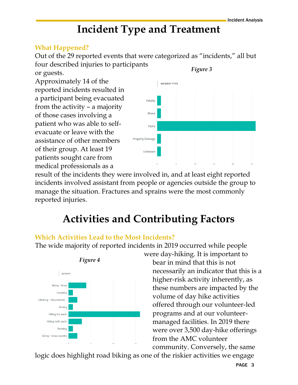# **Incident Type and Treatment**

### **What Happened?**

Out of the 29 reported events that were categorized as "incidents," all but four described injuries to participants *Figure 3*

or guests.

Approximately 14 of the reported incidents resulted in a participant being evacuated from the activity – a majority of those cases involving a patient who was able to selfevacuate or leave with the assistance of other members of their group. At least 19 patients sought care from medical professionals as a



result of the incidents they were involved in, and at least eight reported incidents involved assistant from people or agencies outside the group to manage the situation. Fractures and sprains were the most commonly reported injuries.

# **Activities and Contributing Factors**

# **Which Activities Lead to the Most Incidents?**

The wide majority of reported incidents in 2019 occurred while people



were day-hiking. It is important to bear in mind that this is not necessarily an indicator that this is a higher-risk activity inherently, as these numbers are impacted by the volume of day hike activities offered through our volunteer-led programs and at our volunteermanaged facilities. In 2019 there were over 3,500 day-hike offerings from the AMC volunteer community. Conversely, the same

logic does highlight road biking as one of the riskier activities we engage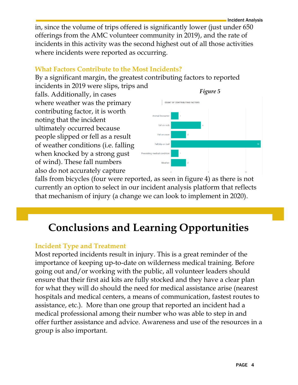in, since the volume of trips offered is significantly lower (just under 650 offerings from the AMC volunteer community in 2019), and the rate of incidents in this activity was the second highest out of all those activities where incidents were reported as occurring.

# **What Factors Contribute to the Most Incidents?**

By a significant margin, the greatest contributing factors to reported

incidents in 2019 were slips, trips and falls. Additionally, in cases where weather was the primary contributing factor, it is worth noting that the incident ultimately occurred because people slipped or fell as a result of weather conditions (i.e. falling when knocked by a strong gust of wind). These fall numbers also do not accurately capture



Incident Analysis

falls from bicycles (four were reported, as seen in figure 4) as there is not currently an option to select in our incident analysis platform that reflects that mechanism of injury (a change we can look to implement in 2020).

# **Conclusions and Learning Opportunities**

### **Incident Type and Treatment**

Most reported incidents result in injury. This is a great reminder of the importance of keeping up-to-date on wilderness medical training. Before going out and/or working with the public, all volunteer leaders should ensure that their first aid kits are fully stocked and they have a clear plan for what they will do should the need for medical assistance arise (nearest hospitals and medical centers, a means of communication, fastest routes to assistance, etc.). More than one group that reported an incident had a medical professional among their number who was able to step in and offer further assistance and advice. Awareness and use of the resources in a group is also important.